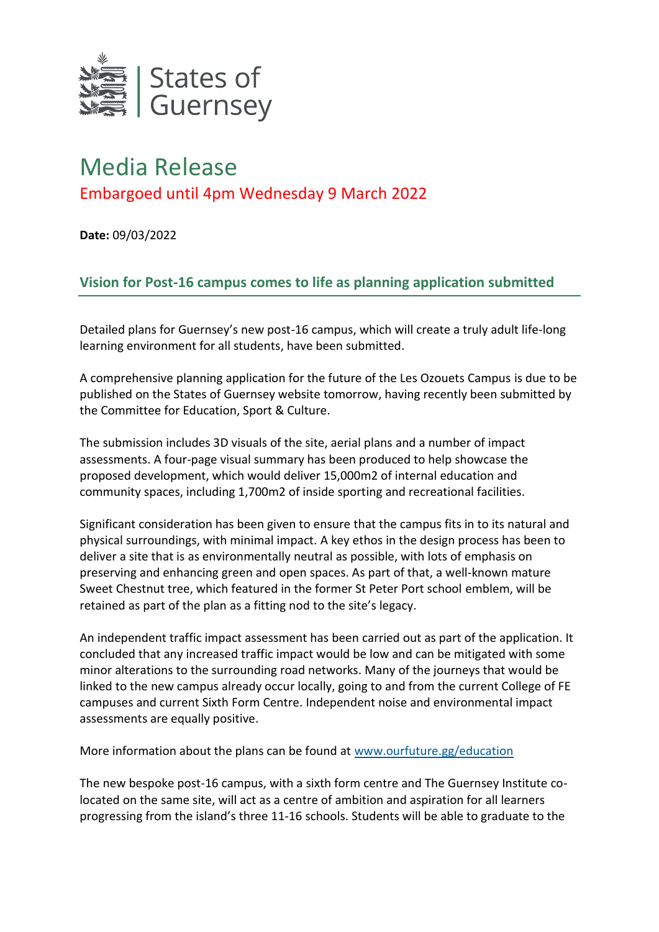

## Media Release Embargoed until 4pm Wednesday 9 March 2022

**Date:** 09/03/2022

## **Vision for Post-16 campus comes to life as planning application submitted**

Detailed plans for Guernsey's new post-16 campus, which will create a truly adult life-long learning environment for all students, have been submitted.

A comprehensive planning application for the future of the Les Ozouets Campus is due to be published on the States of Guernsey website tomorrow, having recently been submitted by the Committee for Education, Sport & Culture.

The submission includes 3D visuals of the site, aerial plans and a number of impact assessments. A four-page visual summary has been produced to help showcase the proposed development, which would deliver 15,000m2 of internal education and community spaces, including 1,700m2 of inside sporting and recreational facilities.

Significant consideration has been given to ensure that the campus fits in to its natural and physical surroundings, with minimal impact. A key ethos in the design process has been to deliver a site that is as environmentally neutral as possible, with lots of emphasis on preserving and enhancing green and open spaces. As part of that, a well-known mature Sweet Chestnut tree, which featured in the former St Peter Port school emblem, will be retained as part of the plan as a fitting nod to the site's legacy.

An independent traffic impact assessment has been carried out as part of the application. It concluded that any increased traffic impact would be low and can be mitigated with some minor alterations to the surrounding road networks. Many of the journeys that would be linked to the new campus already occur locally, going to and from the current College of FE campuses and current Sixth Form Centre. Independent noise and environmental impact assessments are equally positive.

More information about the plans can be found at [www.ourfuture.gg/education](http://www.ourfuture.gg/education)

The new bespoke post-16 campus, with a sixth form centre and The Guernsey Institute colocated on the same site, will act as a centre of ambition and aspiration for all learners progressing from the island's three 11-16 schools. Students will be able to graduate to the